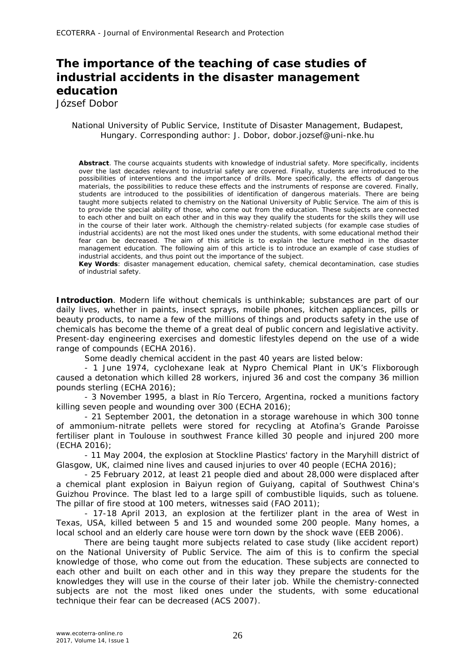## **The importance of the teaching of case studies of industrial accidents in the disaster management education**

József Dobor

## National University of Public Service, Institute of Disaster Management, Budapest, Hungary. Corresponding author: J. Dobor, dobor.jozsef@uni-nke.hu

**Abstract**. The course acquaints students with knowledge of industrial safety. More specifically, incidents over the last decades relevant to industrial safety are covered. Finally, students are introduced to the possibilities of interventions and the importance of drills. More specifically, the effects of dangerous materials, the possibilities to reduce these effects and the instruments of response are covered. Finally, students are introduced to the possibilities of identification of dangerous materials. There are being taught more subjects related to chemistry on the National University of Public Service. The aim of this is to provide the special ability of those, who come out from the education. These subjects are connected to each other and built on each other and in this way they qualify the students for the skills they will use in the course of their later work. Although the chemistry-related subjects (for example case studies of industrial accidents) are not the most liked ones under the students, with some educational method their fear can be decreased. The aim of this article is to explain the lecture method in the disaster management education. The following aim of this article is to introduce an example of case studies of industrial accidents, and thus point out the importance of the subject.

**Key Words**: disaster management education, chemical safety, chemical decontamination, case studies of industrial safety.

**Introduction**. Modern life without chemicals is unthinkable; substances are part of our daily lives, whether in paints, insect sprays, mobile phones, kitchen appliances, pills or beauty products, to name a few of the millions of things and products safety in the use of chemicals has become the theme of a great deal of public concern and legislative activity. Present-day engineering exercises and domestic lifestyles depend on the use of a wide range of compounds (ECHA 2016).

Some deadly chemical accident in the past 40 years are listed below:

- 1 June 1974, cyclohexane leak at Nypro Chemical Plant in UK's Flixborough caused a detonation which killed 28 workers, injured 36 and cost the company 36 million pounds sterling (ECHA 2016);

- 3 November 1995, a blast in Río Tercero, Argentina, rocked a munitions factory killing seven people and wounding over 300 (ECHA 2016);

- 21 September 2001, the detonation in a storage warehouse in which 300 tonne of ammonium-nitrate pellets were stored for recycling at Atofina's Grande Paroisse fertiliser plant in Toulouse in southwest France killed 30 people and injured 200 more (ECHA 2016);

- 11 May 2004, the explosion at Stockline Plastics' factory in the Maryhill district of Glasgow, UK, claimed nine lives and caused injuries to over 40 people (ECHA 2016);

- 25 February 2012, at least 21 people died and about 28,000 were displaced after a chemical plant explosion in Baiyun region of Guiyang, capital of Southwest China's Guizhou Province. The blast led to a large spill of combustible liquids, such as toluene. The pillar of fire stood at 100 meters, witnesses said (FAO 2011);

- 17-18 April 2013, an explosion at the fertilizer plant in the area of West in Texas, USA, killed between 5 and 15 and wounded some 200 people. Many homes, a local school and an elderly care house were torn down by the shock wave (EEB 2006).

There are being taught more subjects related to case study (like accident report) on the National University of Public Service. The aim of this is to confirm the special knowledge of those, who come out from the education. These subjects are connected to each other and built on each other and in this way they prepare the students for the knowledges they will use in the course of their later job. While the chemistry-connected subjects are not the most liked ones under the students, with some educational technique their fear can be decreased (ACS 2007).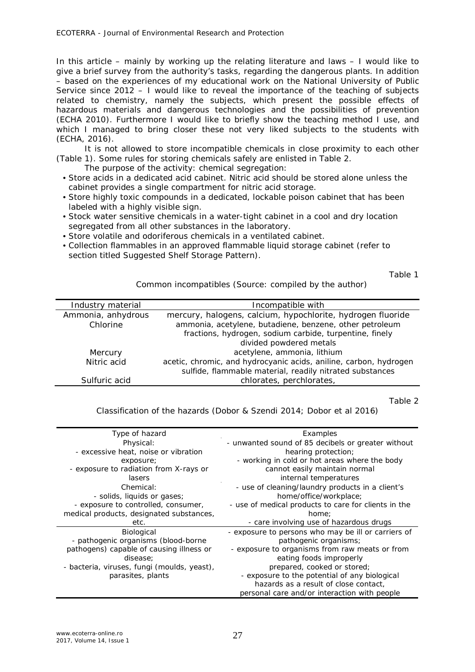In this article – mainly by working up the relating literature and laws – I would like to give a brief survey from the authority's tasks, regarding the dangerous plants. In addition – based on the experiences of my educational work on the National University of Public Service since 2012 – I would like to reveal the importance of the teaching of subjects related to chemistry, namely the subjects, which present the possible effects of hazardous materials and dangerous technologies and the possibilities of prevention (ECHA 2010). Furthermore I would like to briefly show the teaching method I use, and which I managed to bring closer these not very liked subjects to the students with (ECHA, 2016).

It is not allowed to store incompatible chemicals in close proximity to each other (Table 1). Some rules for storing chemicals safely are enlisted in Table 2.

The purpose of the activity: chemical segregation:

- Store acids in a dedicated acid cabinet. Nitric acid should be stored alone unless the cabinet provides a single compartment for nitric acid storage.
- Store highly toxic compounds in a dedicated, lockable poison cabinet that has been labeled with a highly visible sign.
- Stock water sensitive chemicals in a water-tight cabinet in a cool and dry location segregated from all other substances in the laboratory.
- Store volatile and odoriferous chemicals in a ventilated cabinet.
- Collection flammables in an approved flammable liquid storage cabinet (refer to section titled Suggested Shelf Storage Pattern).

Table 1

Common incompatibles (Source: compiled by the author)

| Industry material  | Incompatible with                                                 |
|--------------------|-------------------------------------------------------------------|
| Ammonia, anhydrous | mercury, halogens, calcium, hypochlorite, hydrogen fluoride       |
| Chlorine           | ammonia, acetylene, butadiene, benzene, other petroleum           |
|                    | fractions, hydrogen, sodium carbide, turpentine, finely           |
|                    | divided powdered metals                                           |
| Mercury            | acetylene, ammonia, lithium                                       |
| Nitric acid        | acetic, chromic, and hydrocyanic acids, aniline, carbon, hydrogen |
|                    | sulfide, flammable material, readily nitrated substances          |
| Sulfuric acid      | chlorates, perchlorates,                                          |
|                    |                                                                   |

Table 2

Classification of the hazards (Dobor & Szendi 2014; Dobor et al 2016)

| Type of hazard                              | Examples                                             |
|---------------------------------------------|------------------------------------------------------|
| Physical:                                   | - unwanted sound of 85 decibels or greater without   |
| - excessive heat, noise or vibration        | hearing protection;                                  |
| exposure;                                   | - working in cold or hot areas where the body        |
| - exposure to radiation from X-rays or      | cannot easily maintain normal                        |
| lasers                                      | internal temperatures                                |
| Chemical:                                   | - use of cleaning/laundry products in a client's     |
| - solids, liquids or gases;                 | home/office/workplace;                               |
| - exposure to controlled, consumer,         | - use of medical products to care for clients in the |
| medical products, designated substances,    | home:                                                |
| etc.                                        | - care involving use of hazardous drugs              |
| Biological                                  | - exposure to persons who may be ill or carriers of  |
| - pathogenic organisms (blood-borne         | pathogenic organisms;                                |
| pathogens) capable of causing illness or    | - exposure to organisms from raw meats or from       |
| disease;                                    | eating foods improperly                              |
| - bacteria, viruses, fungi (moulds, yeast), | prepared, cooked or stored;                          |
| parasites, plants                           | - exposure to the potential of any biological        |
|                                             | hazards as a result of close contact,                |
|                                             | personal care and/or interaction with people         |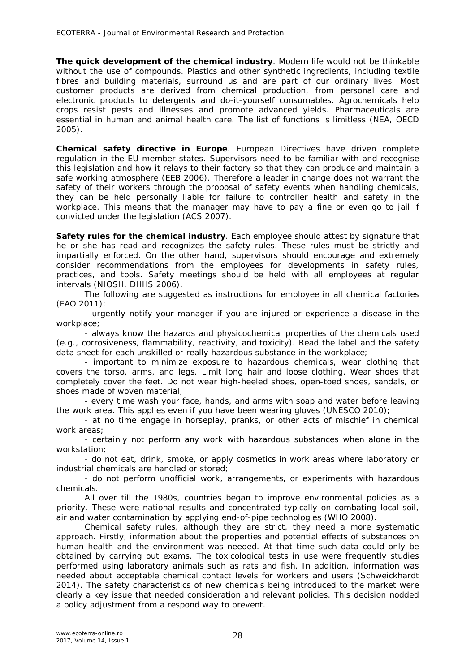**The quick development of the chemical industry**. Modern life would not be thinkable without the use of compounds. Plastics and other synthetic ingredients, including textile fibres and building materials, surround us and are part of our ordinary lives. Most customer products are derived from chemical production, from personal care and electronic products to detergents and do-it-yourself consumables. Agrochemicals help crops resist pests and illnesses and promote advanced yields. Pharmaceuticals are essential in human and animal health care. The list of functions is limitless (NEA, OECD 2005).

**Chemical safety directive in Europe**. European Directives have driven complete regulation in the EU member states. Supervisors need to be familiar with and recognise this legislation and how it relays to their factory so that they can produce and maintain a safe working atmosphere (EEB 2006). Therefore a leader in change does not warrant the safety of their workers through the proposal of safety events when handling chemicals, they can be held personally liable for failure to controller health and safety in the workplace. This means that the manager may have to pay a fine or even go to jail if convicted under the legislation (ACS 2007).

**Safety rules for the chemical industry**. Each employee should attest by signature that he or she has read and recognizes the safety rules. These rules must be strictly and impartially enforced. On the other hand, supervisors should encourage and extremely consider recommendations from the employees for developments in safety rules, practices, and tools. Safety meetings should be held with all employees at regular intervals (NIOSH, DHHS 2006).

The following are suggested as instructions for employee in all chemical factories (FAO 2011):

- urgently notify your manager if you are injured or experience a disease in the workplace;

- always know the hazards and physicochemical properties of the chemicals used (e.g., corrosiveness, flammability, reactivity, and toxicity). Read the label and the safety data sheet for each unskilled or really hazardous substance in the workplace;

- important to minimize exposure to hazardous chemicals, wear clothing that covers the torso, arms, and legs. Limit long hair and loose clothing. Wear shoes that completely cover the feet. Do not wear high-heeled shoes, open-toed shoes, sandals, or shoes made of woven material;

- every time wash your face, hands, and arms with soap and water before leaving the work area. This applies even if you have been wearing gloves (UNESCO 2010);

- at no time engage in horseplay, pranks, or other acts of mischief in chemical work areas;

- certainly not perform any work with hazardous substances when alone in the workstation;

- do not eat, drink, smoke, or apply cosmetics in work areas where laboratory or industrial chemicals are handled or stored;

- do not perform unofficial work, arrangements, or experiments with hazardous chemicals.

All over till the 1980s, countries began to improve environmental policies as a priority. These were national results and concentrated typically on combating local soil, air and water contamination by applying end-of-pipe technologies (WHO 2008).

Chemical safety rules, although they are strict, they need a more systematic approach. Firstly, information about the properties and potential effects of substances on human health and the environment was needed. At that time such data could only be obtained by carrying out exams. The toxicological tests in use were frequently studies performed using laboratory animals such as rats and fish. In addition, information was needed about acceptable chemical contact levels for workers and users (Schweickhardt 2014). The safety characteristics of new chemicals being introduced to the market were clearly a key issue that needed consideration and relevant policies. This decision nodded a policy adjustment from a respond way to prevent.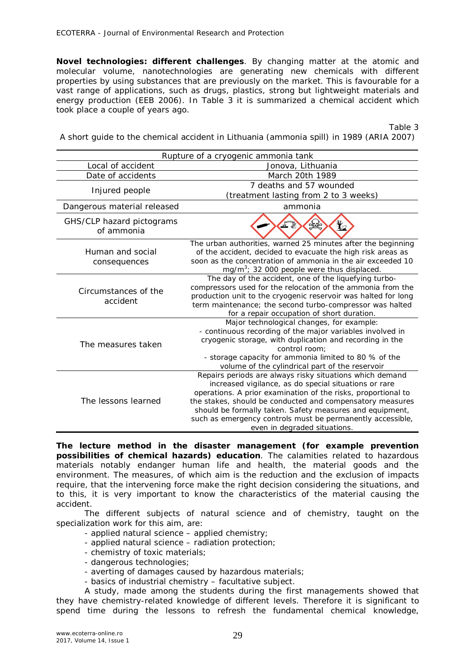**Novel technologies: different challenges**. By changing matter at the atomic and molecular volume, nanotechnologies are generating new chemicals with different properties by using substances that are previously on the market. This is favourable for a vast range of applications, such as drugs, plastics, strong but lightweight materials and energy production (EEB 2006). In Table 3 it is summarized a chemical accident which took place a couple of years ago.

Table 3

A short guide to the chemical accident in Lithuania (ammonia spill) in 1989 (ARIA 2007)

| Rupture of a cryogenic ammonia tank     |                                                                                                                                                                                                                                                                                                                                                                                                           |  |
|-----------------------------------------|-----------------------------------------------------------------------------------------------------------------------------------------------------------------------------------------------------------------------------------------------------------------------------------------------------------------------------------------------------------------------------------------------------------|--|
| Local of accident                       | Jonova, Lithuania                                                                                                                                                                                                                                                                                                                                                                                         |  |
| Date of accidents                       | March 20th 1989                                                                                                                                                                                                                                                                                                                                                                                           |  |
| Injured people                          | 7 deaths and 57 wounded                                                                                                                                                                                                                                                                                                                                                                                   |  |
|                                         | (treatment lasting from 2 to 3 weeks)                                                                                                                                                                                                                                                                                                                                                                     |  |
| Dangerous material released             | ammonia                                                                                                                                                                                                                                                                                                                                                                                                   |  |
| GHS/CLP hazard pictograms<br>of ammonia | NZ.                                                                                                                                                                                                                                                                                                                                                                                                       |  |
| Human and social<br>consequences        | The urban authorities, warned 25 minutes after the beginning<br>of the accident, decided to evacuate the high risk areas as<br>soon as the concentration of ammonia in the air exceeded 10<br>mg/m <sup>3</sup> ; 32 000 people were thus displaced.                                                                                                                                                      |  |
| Circumstances of the<br>accident        | The day of the accident, one of the liquefying turbo-<br>compressors used for the relocation of the ammonia from the<br>production unit to the cryogenic reservoir was halted for long<br>term maintenance; the second turbo-compressor was halted<br>for a repair occupation of short duration.                                                                                                          |  |
| The measures taken                      | Major technological changes, for example:<br>- continuous recording of the major variables involved in<br>cryogenic storage, with duplication and recording in the<br>control room:<br>- storage capacity for ammonia limited to 80 % of the<br>volume of the cylindrical part of the reservoir                                                                                                           |  |
| The lessons learned                     | Repairs periods are always risky situations which demand<br>increased vigilance, as do special situations or rare<br>operations. A prior examination of the risks, proportional to<br>the stakes, should be conducted and compensatory measures<br>should be formally taken. Safety measures and equipment,<br>such as emergency controls must be permanently accessible,<br>even in degraded situations. |  |

**The lecture method in the disaster management (for example prevention possibilities of chemical hazards) education**. The calamities related to hazardous materials notably endanger human life and health, the material goods and the environment. The measures, of which aim is the reduction and the exclusion of impacts require, that the intervening force make the right decision considering the situations, and to this, it is very important to know the characteristics of the material causing the accident.

The different subjects of natural science and of chemistry, taught on the specialization work for this aim, are:

- applied natural science applied chemistry;
- applied natural science radiation protection;
- chemistry of toxic materials;
- dangerous technologies;
- averting of damages caused by hazardous materials;
- basics of industrial chemistry facultative subject.

A study, made among the students during the first managements showed that they have chemistry-related knowledge of different levels. Therefore it is significant to spend time during the lessons to refresh the fundamental chemical knowledge,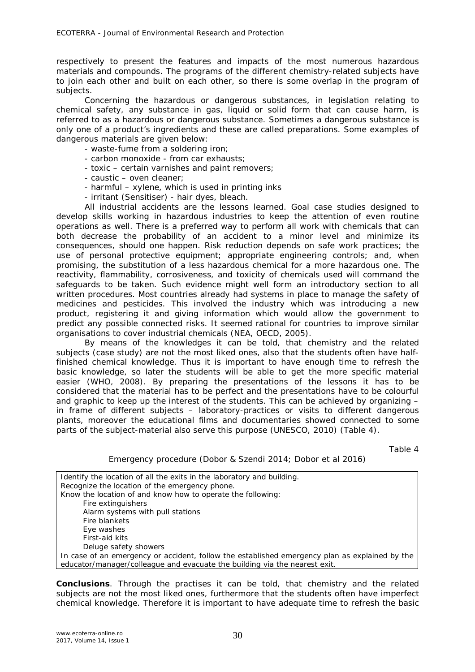respectively to present the features and impacts of the most numerous hazardous materials and compounds. The programs of the different chemistry-related subjects have to join each other and built on each other, so there is some overlap in the program of subjects.

Concerning the hazardous or dangerous substances, in legislation relating to chemical safety, any substance in gas, liquid or solid form that can cause harm, is referred to as a hazardous or dangerous substance. Sometimes a dangerous substance is only one of a product's ingredients and these are called preparations. Some examples of dangerous materials are given below:

- waste-fume from a soldering iron;
- carbon monoxide from car exhausts;
- toxic certain varnishes and paint removers;
- caustic oven cleaner;
- harmful xylene, which is used in printing inks
- irritant (Sensitiser) hair dyes, bleach.

All industrial accidents are the lessons learned. Goal case studies designed to develop skills working in hazardous industries to keep the attention of even routine operations as well. There is a preferred way to perform all work with chemicals that can both decrease the probability of an accident to a minor level and minimize its consequences, should one happen. Risk reduction depends on safe work practices; the use of personal protective equipment; appropriate engineering controls; and, when promising, the substitution of a less hazardous chemical for a more hazardous one. The reactivity, flammability, corrosiveness, and toxicity of chemicals used will command the safeguards to be taken. Such evidence might well form an introductory section to all written procedures. Most countries already had systems in place to manage the safety of medicines and pesticides. This involved the industry which was introducing a new product, registering it and giving information which would allow the government to predict any possible connected risks. It seemed rational for countries to improve similar organisations to cover industrial chemicals (NEA, OECD, 2005).

By means of the knowledges it can be told, that chemistry and the related subjects (case study) are not the most liked ones, also that the students often have halffinished chemical knowledge. Thus it is important to have enough time to refresh the basic knowledge, so later the students will be able to get the more specific material easier (WHO, 2008). By preparing the presentations of the lessons it has to be considered that the material has to be perfect and the presentations have to be colourful and graphic to keep up the interest of the students. This can be achieved by organizing – in frame of different subjects – laboratory-practices or visits to different dangerous plants, moreover the educational films and documentaries showed connected to some parts of the subject-material also serve this purpose (UNESCO, 2010) (Table 4).

Table 4

## Emergency procedure (Dobor & Szendi 2014; Dobor et al 2016)

Identify the location of all the exits in the laboratory and building. Recognize the location of the emergency phone. Know the location of and know how to operate the following: Fire extinguishers Alarm systems with pull stations Fire blankets Eye washes First-aid kits Deluge safety showers In case of an emergency or accident, follow the established emergency plan as explained by the educator/manager/colleague and evacuate the building via the nearest exit.

**Conclusions**. Through the practises it can be told, that chemistry and the related subjects are not the most liked ones, furthermore that the students often have imperfect chemical knowledge. Therefore it is important to have adequate time to refresh the basic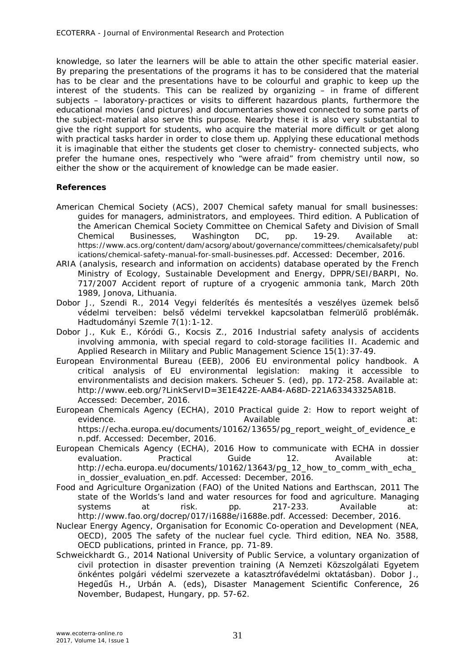knowledge, so later the learners will be able to attain the other specific material easier. By preparing the presentations of the programs it has to be considered that the material has to be clear and the presentations have to be colourful and graphic to keep up the interest of the students. This can be realized by organizing – in frame of different subjects – laboratory-practices or visits to different hazardous plants, furthermore the educational movies (and pictures) and documentaries showed connected to some parts of the subject-material also serve this purpose. Nearby these it is also very substantial to give the right support for students, who acquire the material more difficult or get along with practical tasks harder in order to close them up. Applying these educational methods it is imaginable that either the students get closer to chemistry- connected subjects, who prefer the humane ones, respectively who "were afraid" from chemistry until now, so either the show or the acquirement of knowledge can be made easier.

## **References**

- American Chemical Society (ACS), 2007 Chemical safety manual for small businesses: guides for managers, administrators, and employees. Third edition. A Publication of the American Chemical Society Committee on Chemical Safety and Division of Small<br>Chemical Businesses, Washington DC, pp. 19-29. Available at: Chemical Businesses, Washington DC, pp. 19-29. Available at: https://www.acs.org/content/dam/acsorg/about/governance/committees/chemicalsafety/publ ications/chemical-safety-manual-for-small-businesses.pdf. Accessed: December, 2016.
- ARIA (analysis, research and information on accidents) database operated by the French Ministry of Ecology, Sustainable Development and Energy, DPPR/SEI/BARPI, No. 717/2007 Accident report of rupture of a cryogenic ammonia tank, March 20th 1989, Jonova, Lithuania.
- Dobor J., Szendi R., 2014 Vegyi felderítés és mentesítés a veszélyes üzemek belső védelmi terveiben: belső védelmi tervekkel kapcsolatban felmerülő problémák. Hadtudományi Szemle 7(1):1-12.
- Dobor J., Kuk E., Kóródi G., Kocsis Z., 2016 Industrial safety analysis of accidents involving ammonia, with special regard to cold-storage facilities II. Academic and Applied Research in Military and Public Management Science 15(1):37-49.
- European Environmental Bureau (EEB), 2006 EU environmental policy handbook. A critical analysis of EU environmental legislation: making it accessible to environmentalists and decision makers. Scheuer S. (ed), pp. 172-258. Available at: http://www.eeb.org/?LinkServID=3E1E422E-AAB4-A68D-221A63343325A81B. Accessed: December, 2016.
- European Chemicals Agency (ECHA), 2010 Practical guide 2: How to report weight of evidence. The according of the state at a series are at a series at a series at a series at a series at a series at a series at a series at a series at a series at a series at a series at a series at a series at a series a https://echa.europa.eu/documents/10162/13655/pg\_report\_weight\_of\_evidence\_e
- n.pdf. Accessed: December, 2016. European Chemicals Agency (ECHA), 2016 How to communicate with ECHA in dossier evaluation. Practical Guide 12. Available at: http://echa.europa.eu/documents/10162/13643/pg\_12\_how\_to\_comm\_with\_echa\_ in dossier evaluation en.pdf. Accessed: December, 2016.
- Food and Agriculture Organization (FAO) of the United Nations and Earthscan, 2011 The state of the Worlds's land and water resources for food and agriculture. Managing systems at risk. pp. 217-233. Available at: http://www.fao.org/docrep/017/i1688e/i1688e.pdf. Accessed: December, 2016.
- Nuclear Energy Agency, Organisation for Economic Co-operation and Development (NEA, OECD), 2005 The safety of the nuclear fuel cycle. Third edition, NEA No. 3588, OECD publications, printed in France, pp. 71-89.
- Schweickhardt G., 2014 National University of Public Service, a voluntary organization of civil protection in disaster prevention training (A Nemzeti Közszolgálati Egyetem önkéntes polgári védelmi szervezete a katasztrófavédelmi oktatásban). Dobor J., Hegedűs H., Urbán A. (eds), Disaster Management Scientific Conference, 26 November, Budapest, Hungary, pp. 57-62.